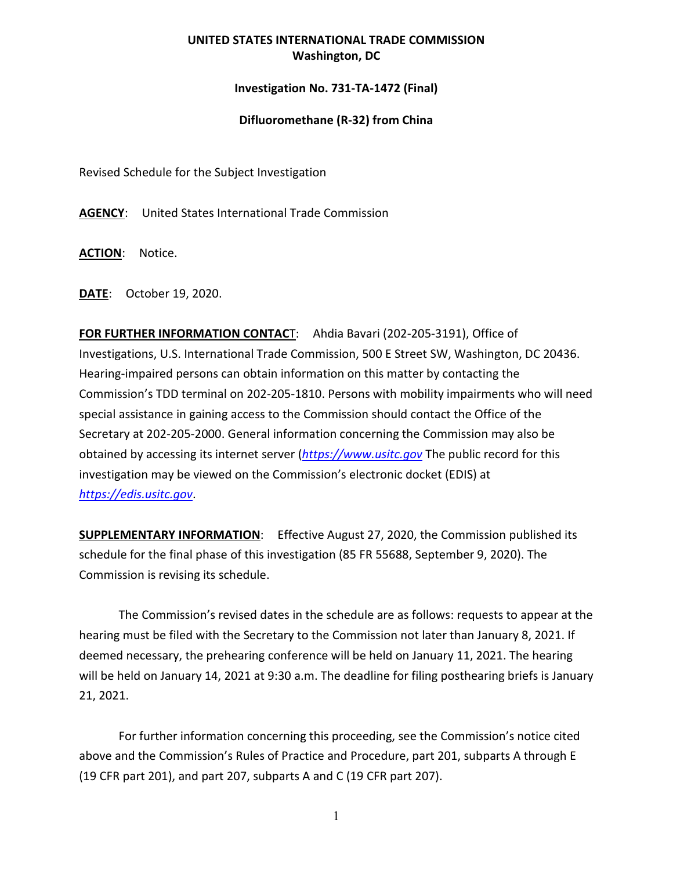## **UNITED STATES INTERNATIONAL TRADE COMMISSION Washington, DC**

## **Investigation No. 731-TA-1472 (Final)**

## **Difluoromethane (R-32) from China**

Revised Schedule for the Subject Investigation

**AGENCY**: United States International Trade Commission

**ACTION**: Notice.

**DATE**: October 19, 2020.

**FOR FURTHER INFORMATION CONTAC**T: Ahdia Bavari (202-205-3191), Office of Investigations, U.S. International Trade Commission, 500 E Street SW, Washington, DC 20436. Hearing-impaired persons can obtain information on this matter by contacting the Commission's TDD terminal on 202-205-1810. Persons with mobility impairments who will need special assistance in gaining access to the Commission should contact the Office of the Secretary at 202-205-2000. General information concerning the Commission may also be obtained by accessing its internet server (*[https://www.usitc.gov](https://www.usitc.gov/)* The public record for this investigation may be viewed on the Commission's electronic docket (EDIS) at *[https://edis.usitc.gov](https://edis.usitc.gov/)*.

**SUPPLEMENTARY INFORMATION**: Effective August 27, 2020, the Commission published its schedule for the final phase of this investigation (85 FR 55688, September 9, 2020). The Commission is revising its schedule.

The Commission's revised dates in the schedule are as follows: requests to appear at the hearing must be filed with the Secretary to the Commission not later than January 8, 2021. If deemed necessary, the prehearing conference will be held on January 11, 2021. The hearing will be held on January 14, 2021 at 9:30 a.m. The deadline for filing posthearing briefs is January 21, 2021.

For further information concerning this proceeding, see the Commission's notice cited above and the Commission's Rules of Practice and Procedure, part 201, subparts A through E (19 CFR part 201), and part 207, subparts A and C (19 CFR part 207).